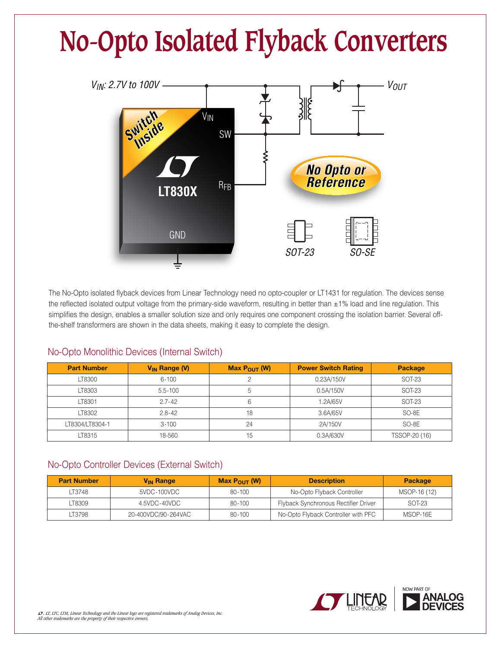# **No-Opto Isolated Flyback Converters**



The No-Opto isolated flyback devices from Linear Technology need no opto-coupler or LT1431 for regulation. The devices sense the reflected isolated output voltage from the primary-side waveform, resulting in better than ±1% load and line regulation. This simplifies the design, enables a smaller solution size and only requires one component crossing the isolation barrier. Several offthe-shelf transformers are shown in the data sheets, making it easy to complete the design.

| <b>Part Number</b> | $V_{IN}$ Range (V) | Max $P_{OUT}$ (W) | <b>Power Switch Rating</b> | Package       |
|--------------------|--------------------|-------------------|----------------------------|---------------|
| LT8300             | $6 - 100$          |                   | 0.23A/150V                 | SOT-23        |
| LT8303             | $5.5 - 100$        |                   | 0.5A/150V                  | SOT-23        |
| LT8301             | $2.7 - 42$         |                   | 1.2A/65V                   | SOT-23        |
| LT8302             | $2.8 - 42$         | 18                | 3.6A/65V                   | SO-8E         |
| LT8304/LT8304-1    | $3 - 100$          | 24                | 2A/150V                    | SO-8E         |
| LT8315             | 18-560             | 15                | 0.3A/630V                  | TSSOP-20 (16) |

## No-Opto Monolithic Devices (Internal Switch)

## No-Opto Controller Devices (External Switch)

| <b>Part Number</b> | <b>V<sub>IN</sub></b> Range | Max $P_{\text{OUT}}(W)$ | <b>Description</b>                   | <b>Package</b> |
|--------------------|-----------------------------|-------------------------|--------------------------------------|----------------|
| LT3748             | 5VDC-100VDC                 | $80 - 100$              | No-Opto Flyback Controller           | MSOP-16 (12)   |
| ـT8309             | 4.5VDC-40VDC                | 80-100                  | Flyback Synchronous Rectifier Driver | SOT-23         |
| LT3798             | 20-400VDC/90-264VAC         | 80-100                  | No-Opto Flyback Controller with PFC  | MSOP-16E       |